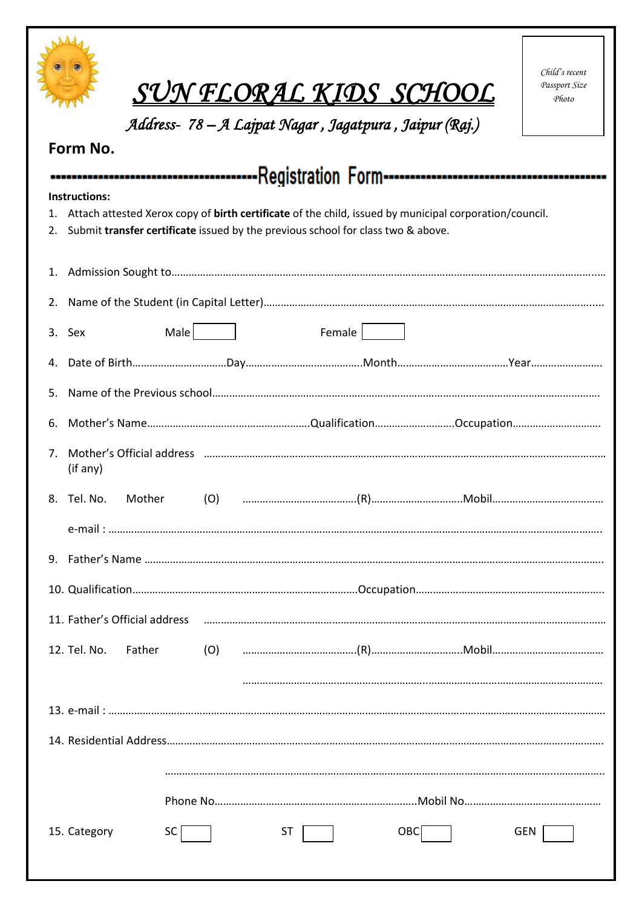|                                                                                                                                                                                                                         | SUN FLORAL KIDS SCHOOL<br>Address- 78 – A Lajpat Nagar, Jagatpura, Jaipur (Raj.) | Child's recent<br>Passport Size<br>Photo |  |  |  |  |  |
|-------------------------------------------------------------------------------------------------------------------------------------------------------------------------------------------------------------------------|----------------------------------------------------------------------------------|------------------------------------------|--|--|--|--|--|
| Form No.                                                                                                                                                                                                                |                                                                                  |                                          |  |  |  |  |  |
| Instructions:<br>Attach attested Xerox copy of birth certificate of the child, issued by municipal corporation/council.<br>1.<br>Submit transfer certificate issued by the previous school for class two & above.<br>2. |                                                                                  |                                          |  |  |  |  |  |
| 1.                                                                                                                                                                                                                      |                                                                                  |                                          |  |  |  |  |  |
| 2.                                                                                                                                                                                                                      |                                                                                  |                                          |  |  |  |  |  |
|                                                                                                                                                                                                                         | Male  <br>Female  <br>3. Sex                                                     |                                          |  |  |  |  |  |
| 4.                                                                                                                                                                                                                      |                                                                                  |                                          |  |  |  |  |  |
| 5.                                                                                                                                                                                                                      |                                                                                  |                                          |  |  |  |  |  |
| 6.                                                                                                                                                                                                                      |                                                                                  |                                          |  |  |  |  |  |
| 7.                                                                                                                                                                                                                      | (if any)                                                                         |                                          |  |  |  |  |  |
|                                                                                                                                                                                                                         | 8. Tel. No.<br>Mother                                                            |                                          |  |  |  |  |  |
|                                                                                                                                                                                                                         |                                                                                  |                                          |  |  |  |  |  |
|                                                                                                                                                                                                                         |                                                                                  |                                          |  |  |  |  |  |
|                                                                                                                                                                                                                         |                                                                                  |                                          |  |  |  |  |  |
|                                                                                                                                                                                                                         | 11. Father's Official address                                                    |                                          |  |  |  |  |  |
|                                                                                                                                                                                                                         | 12. Tel. No.<br>Father                                                           |                                          |  |  |  |  |  |
|                                                                                                                                                                                                                         |                                                                                  |                                          |  |  |  |  |  |
|                                                                                                                                                                                                                         |                                                                                  |                                          |  |  |  |  |  |
|                                                                                                                                                                                                                         |                                                                                  |                                          |  |  |  |  |  |
|                                                                                                                                                                                                                         |                                                                                  |                                          |  |  |  |  |  |
|                                                                                                                                                                                                                         |                                                                                  |                                          |  |  |  |  |  |
|                                                                                                                                                                                                                         | 15. Category<br><b>OBC</b><br>SC.<br><b>ST</b><br>GEN                            |                                          |  |  |  |  |  |